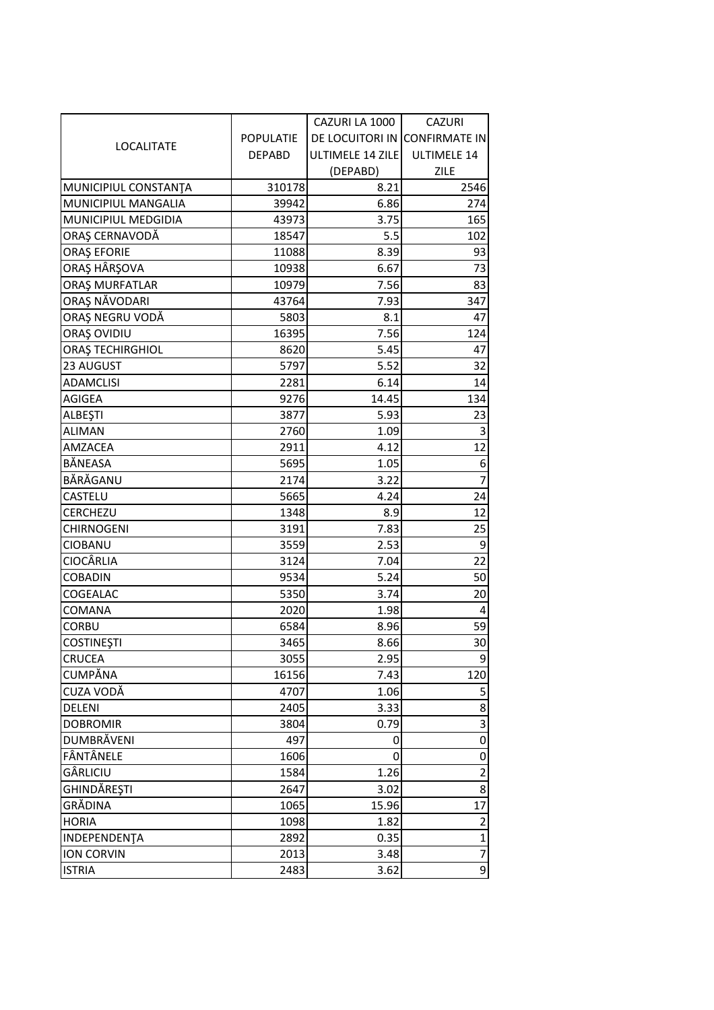|                         |                  | CAZURI LA 1000          | <b>CAZURI</b>           |
|-------------------------|------------------|-------------------------|-------------------------|
| LOCALITATE              | <b>POPULATIE</b> | <b>DE LOCUITORI IN</b>  | <b>CONFIRMATE IN</b>    |
|                         | <b>DEPABD</b>    | <b>ULTIMELE 14 ZILE</b> | ULTIMELE 14             |
|                         |                  | (DEPABD)                | ZILE                    |
| MUNICIPIUL CONSTANTA    | 310178           | 8.21                    | 2546                    |
| MUNICIPIUL MANGALIA     | 39942            | 6.86                    | 274                     |
| MUNICIPIUL MEDGIDIA     | 43973            | 3.75                    | 165                     |
| ORAȘ CERNAVODĂ          | 18547            | 5.5                     | 102                     |
| <b>ORAȘ EFORIE</b>      | 11088            | 8.39                    | 93                      |
| ORAȘ HÂRȘOVA            | 10938            | 6.67                    | 73                      |
| ORAȘ MURFATLAR          | 10979            | 7.56                    | 83                      |
| ORAȘ NĂVODARI           | 43764            | 7.93                    | 347                     |
| ORAȘ NEGRU VODĂ         | 5803             | 8.1                     | 47                      |
| ORAȘ OVIDIU             | 16395            | 7.56                    | 124                     |
| <b>ORAȘ TECHIRGHIOL</b> | 8620             | 5.45                    | 47                      |
| 23 AUGUST               | 5797             | 5.52                    | 32                      |
| <b>ADAMCLISI</b>        | 2281             | 6.14                    | 14                      |
| <b>AGIGEA</b>           | 9276             | 14.45                   | 134                     |
| <b>ALBESTI</b>          | 3877             | 5.93                    | 23                      |
| <b>ALIMAN</b>           | 2760             | 1.09                    | 3                       |
| AMZACEA                 | 2911             | 4.12                    | 12                      |
| BĂNEASA                 | 5695             | 1.05                    | $\boldsymbol{6}$        |
| BĂRĂGANU                | 2174             | 3.22                    | $\overline{7}$          |
| <b>CASTELU</b>          | 5665             | 4.24                    | 24                      |
| CERCHEZU                | 1348             | 8.9                     | 12                      |
| <b>CHIRNOGENI</b>       | 3191             | 7.83                    | 25                      |
| <b>CIOBANU</b>          | 3559             | 2.53                    | 9                       |
| <b>CIOCÂRLIA</b>        | 3124             | 7.04                    | 22                      |
| <b>COBADIN</b>          | 9534             | 5.24                    | 50                      |
| COGEALAC                | 5350             | 3.74                    | 20                      |
| <b>COMANA</b>           | 2020             | 1.98                    | 4                       |
| <b>CORBU</b>            | 6584             | 8.96                    | 59                      |
| <b>COSTINEȘTI</b>       | 3465             | 8.66                    | 30                      |
| <b>CRUCEA</b>           | 3055             | 2.95                    | 9                       |
| <b>CUMPĂNA</b>          | 16156            | 7.43                    | 120                     |
| CUZA VODĂ               | 4707             | 1.06                    | 5                       |
| <b>DELENI</b>           | 2405             | 3.33                    | 8                       |
| <b>DOBROMIR</b>         | 3804             | 0.79                    | 3                       |
| <b>DUMBRĂVENI</b>       | 497              | 0                       | $\pmb{0}$               |
| FÂNTÂNELE               | 1606             | 0                       | 0                       |
| GÂRLICIU                | 1584             | 1.26                    | $\overline{\mathbf{c}}$ |
| GHINDĂREȘTI             | 2647             | 3.02                    | 8                       |
| GRĂDINA                 | 1065             | 15.96                   | 17                      |
| <b>HORIA</b>            | 1098             | 1.82                    | $\overline{c}$          |
| INDEPENDENTA            | 2892             | 0.35                    | $\mathbf{1}$            |
| <b>ION CORVIN</b>       | 2013             | 3.48                    | $\overline{7}$          |
| <b>ISTRIA</b>           | 2483             | 3.62                    | $\overline{9}$          |